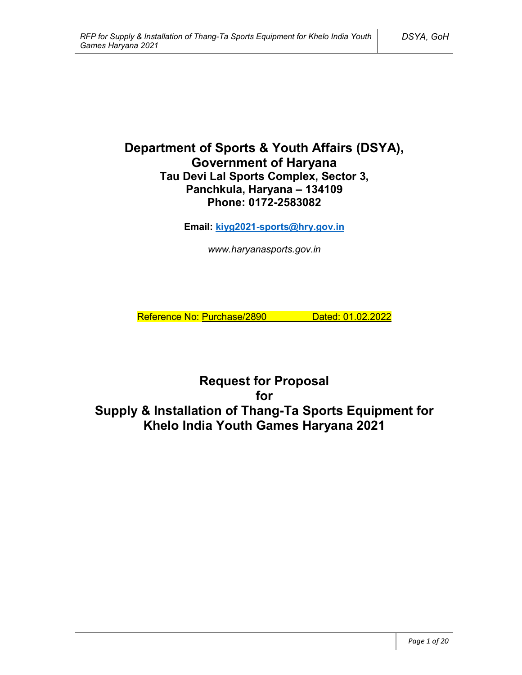# **Department of Sports & Youth Affairs (DSYA), Government of Haryana Tau Devi Lal Sports Complex, Sector 3, Panchkula, Haryana – 134109 Phone: 0172-2583082**

**Email: kiyg2021-sports@hry.gov.in**

*www.haryanasports.gov.in*

Reference No: Purchase/2890 Dated: 01.02.2022

**Request for Proposal for Supply & Installation of Thang-Ta Sports Equipment for Khelo India Youth Games Haryana 2021**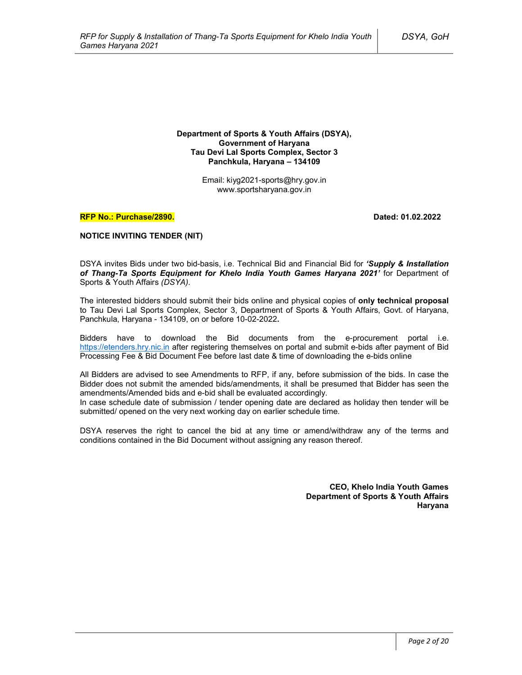**Department of Sports & Youth Affairs (DSYA), Government of Haryana Tau Devi Lal Sports Complex, Sector 3 Panchkula, Haryana – 134109**

> Email: kiyg2021-sports@hry.gov.in www.sportsharyana.gov.in

#### **RFP No.: Purchase/2890. Dated: 01.02.2022**

#### **NOTICE INVITING TENDER (NIT)**

DSYA invites Bids under two bid-basis, i.e. Technical Bid and Financial Bid for *'Supply & Installation of Thang-Ta Sports Equipment for Khelo India Youth Games Haryana 2021'* for Department of Sports & Youth Affairs *(DSYA)*.

The interested bidders should submit their bids online and physical copies of **only technical proposal** to Tau Devi Lal Sports Complex, Sector 3, Department of Sports & Youth Affairs, Govt. of Haryana, Panchkula, Haryana - 134109, on or before 10-02-2022**.**

Bidders have to download the Bid documents from the e-procurement portal i.e. https://etenders.hry.nic.in after registering themselves on portal and submit e-bids after payment of Bid Processing Fee & Bid Document Fee before last date & time of downloading the e-bids online

All Bidders are advised to see Amendments to RFP, if any, before submission of the bids. In case the Bidder does not submit the amended bids/amendments, it shall be presumed that Bidder has seen the amendments/Amended bids and e-bid shall be evaluated accordingly.

In case schedule date of submission / tender opening date are declared as holiday then tender will be submitted/ opened on the very next working day on earlier schedule time.

DSYA reserves the right to cancel the bid at any time or amend/withdraw any of the terms and conditions contained in the Bid Document without assigning any reason thereof.

> **CEO, Khelo India Youth Games Department of Sports & Youth Affairs Haryana**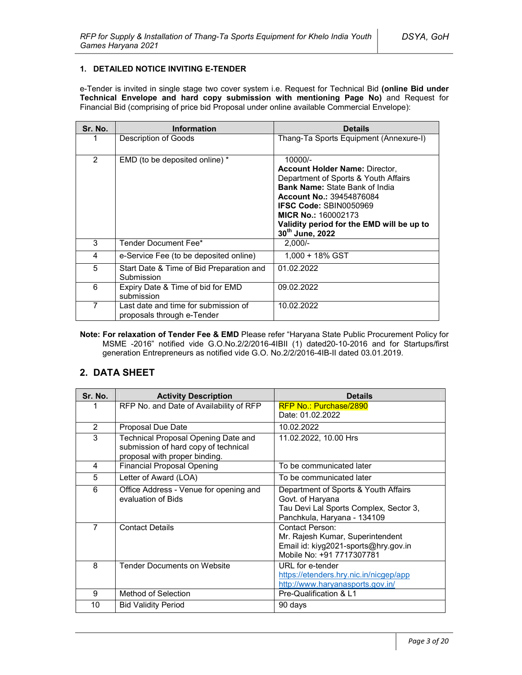#### **1. DETAILED NOTICE INVITING E-TENDER**

e-Tender is invited in single stage two cover system i.e. Request for Technical Bid **(online Bid under Technical Envelope and hard copy submission with mentioning Page No)** and Request for Financial Bid (comprising of price bid Proposal under online available Commercial Envelope):

| Sr. No. | <b>Information</b>                                                 | <b>Details</b>                                                                                                                                                                                                                                                                                                    |
|---------|--------------------------------------------------------------------|-------------------------------------------------------------------------------------------------------------------------------------------------------------------------------------------------------------------------------------------------------------------------------------------------------------------|
|         | Description of Goods                                               | Thang-Ta Sports Equipment (Annexure-I)                                                                                                                                                                                                                                                                            |
| 2       | EMD (to be deposited online) *                                     | $10000/-$<br><b>Account Holder Name: Director.</b><br>Department of Sports & Youth Affairs<br><b>Bank Name: State Bank of India</b><br><b>Account No.: 39454876084</b><br><b>IFSC Code: SBIN0050969</b><br><b>MICR No.: 160002173</b><br>Validity period for the EMD will be up to<br>30 <sup>th</sup> June, 2022 |
| 3       | Tender Document Fee*                                               | $2.000/-$                                                                                                                                                                                                                                                                                                         |
| 4       | e-Service Fee (to be deposited online)                             | $1.000 + 18\%$ GST                                                                                                                                                                                                                                                                                                |
| 5       | Start Date & Time of Bid Preparation and<br>Submission             | 01.02.2022                                                                                                                                                                                                                                                                                                        |
| 6       | Expiry Date & Time of bid for EMD<br>submission                    | 09.02.2022                                                                                                                                                                                                                                                                                                        |
| 7       | Last date and time for submission of<br>proposals through e-Tender | 10.02.2022                                                                                                                                                                                                                                                                                                        |

**Note: For relaxation of Tender Fee & EMD** Please refer "Haryana State Public Procurement Policy for MSME -2016" notified vide G.O.No.2/2/2016-4IBII (1) dated20-10-2016 and for Startups/first generation Entrepreneurs as notified vide G.O. No.2/2/2016-4IB-II dated 03.01.2019.

## **2. DATA SHEET**

| Sr. No.        | <b>Activity Description</b>                                                                                  | Details                                                                                                                           |
|----------------|--------------------------------------------------------------------------------------------------------------|-----------------------------------------------------------------------------------------------------------------------------------|
| 1              | RFP No. and Date of Availability of RFP                                                                      | <b>RFP No.: Purchase/2890</b><br>Date: 01.02.2022                                                                                 |
| $\overline{2}$ | Proposal Due Date                                                                                            | 10.02.2022                                                                                                                        |
| 3              | Technical Proposal Opening Date and<br>submission of hard copy of technical<br>proposal with proper binding. | 11.02.2022, 10.00 Hrs                                                                                                             |
| 4              | <b>Financial Proposal Opening</b>                                                                            | To be communicated later                                                                                                          |
| 5              | Letter of Award (LOA)                                                                                        | To be communicated later                                                                                                          |
| 6              | Office Address - Venue for opening and<br>evaluation of Bids                                                 | Department of Sports & Youth Affairs<br>Govt. of Haryana<br>Tau Devi Lal Sports Complex, Sector 3,<br>Panchkula, Haryana - 134109 |
| $\overline{7}$ | <b>Contact Details</b>                                                                                       | Contact Person:<br>Mr. Rajesh Kumar, Superintendent<br>Email id: kiyg2021-sports@hry.gov.in<br>Mobile No: +91 7717307781          |
| 8              | <b>Tender Documents on Website</b>                                                                           | URL for e-tender<br>https://etenders.hry.nic.in/nicgep/app<br>http://www.haryanasports.gov.in/                                    |
| 9              | Method of Selection                                                                                          | Pre-Qualification & L1                                                                                                            |
| 10             | <b>Bid Validity Period</b>                                                                                   | 90 days                                                                                                                           |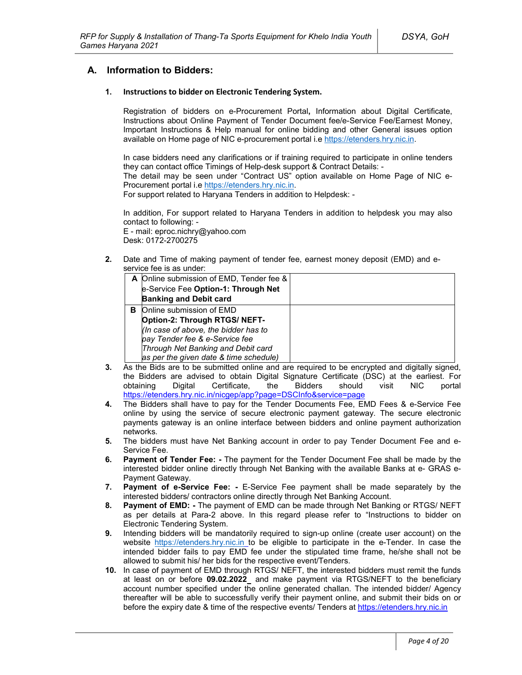## **A. Information to Bidders:**

#### **1. Instructions to bidder on Electronic Tendering System.**

Registration of bidders on e-Procurement Portal**,** Information about Digital Certificate, Instructions about Online Payment of Tender Document fee/e-Service Fee/Earnest Money, Important Instructions & Help manual for online bidding and other General issues option available on Home page of NIC e-procurement portal i.e https://etenders.hry.nic.in.

In case bidders need any clarifications or if training required to participate in online tenders they can contact office Timings of Help-desk support & Contract Details: -

The detail may be seen under "Contract US" option available on Home Page of NIC e-Procurement portal i.e https://etenders.hry.nic.in.

For support related to Haryana Tenders in addition to Helpdesk: -

In addition, For support related to Haryana Tenders in addition to helpdesk you may also contact to following: -

E - mail: eproc.nichry@yahoo.com Desk: 0172-2700275

**2.** Date and Time of making payment of tender fee, earnest money deposit (EMD) and eservice fee is as under:

|   | A Online submission of EMD, Tender fee &<br>e-Service Fee Option-1: Through Net<br><b>Banking and Debit card</b>                                                                                                    |  |
|---|---------------------------------------------------------------------------------------------------------------------------------------------------------------------------------------------------------------------|--|
| в | Online submission of EMD<br>Option-2: Through RTGS/ NEFT-<br>(In case of above, the bidder has to<br>pay Tender fee & e-Service fee<br>Through Net Banking and Debit card<br>as per the given date & time schedule) |  |

- **3.** As the Bids are to be submitted online and are required to be encrypted and digitally signed, the Bidders are advised to obtain Digital Signature Certificate (DSC) at the earliest. For obtaining Digital Certificate, the Bidders should visit NIC portal https://etenders.hry.nic.in/nicgep/app?page=DSCInfo&service=page
- **4.** The Bidders shall have to pay for the Tender Documents Fee, EMD Fees & e-Service Fee online by using the service of secure electronic payment gateway. The secure electronic payments gateway is an online interface between bidders and online payment authorization networks.
- **5.** The bidders must have Net Banking account in order to pay Tender Document Fee and e-Service Fee.
- **6. Payment of Tender Fee: -** The payment for the Tender Document Fee shall be made by the interested bidder online directly through Net Banking with the available Banks at e- GRAS e-Payment Gateway.
- **7. Payment of e-Service Fee: -** E-Service Fee payment shall be made separately by the interested bidders/ contractors online directly through Net Banking Account.
- **8. Payment of EMD: -** The payment of EMD can be made through Net Banking or RTGS/ NEFT as per details at Para-2 above. In this regard please refer to "Instructions to bidder on Electronic Tendering System.
- **9.** Intending bidders will be mandatorily required to sign-up online (create user account) on the website https://etenders.hry.nic.in to be eligible to participate in the e-Tender. In case the intended bidder fails to pay EMD fee under the stipulated time frame, he/she shall not be allowed to submit his/ her bids for the respective event/Tenders.
- **10.** In case of payment of EMD through RTGS/ NEFT, the interested bidders must remit the funds at least on or before **09.02.2022** and make payment via RTGS/NEFT to the beneficiary account number specified under the online generated challan. The intended bidder/ Agency thereafter will be able to successfully verify their payment online, and submit their bids on or before the expiry date & time of the respective events/ Tenders at https://etenders.hry.nic.in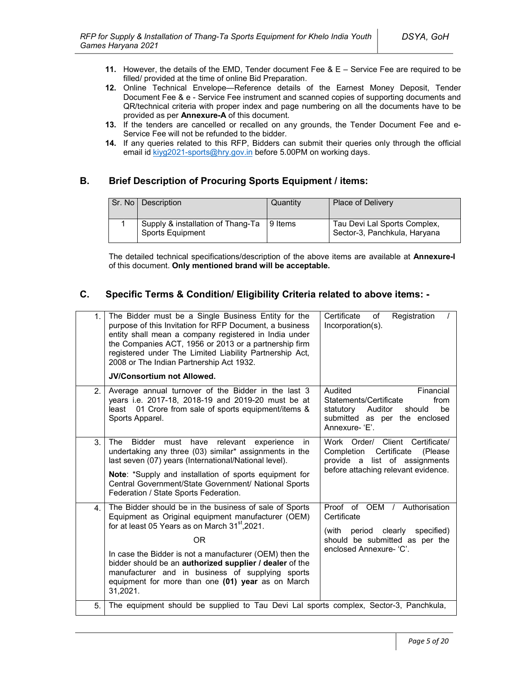- **11.** However, the details of the EMD, Tender document Fee & E Service Fee are required to be filled/ provided at the time of online Bid Preparation.
- **12.** Online Technical Envelope—Reference details of the Earnest Money Deposit, Tender Document Fee & e - Service Fee instrument and scanned copies of supporting documents and QR/technical criteria with proper index and page numbering on all the documents have to be provided as per **Annexure-A** of this document.
- **13.** If the tenders are cancelled or recalled on any grounds, the Tender Document Fee and e-Service Fee will not be refunded to the bidder.
- **14.** If any queries related to this RFP, Bidders can submit their queries only through the official email id kiyg2021-sports@hry.gov.in before 5.00PM on working days.

## **B. Brief Description of Procuring Sports Equipment / items:**

| Sr. No Description                                    | Quantity | <b>Place of Delivery</b>                                     |
|-------------------------------------------------------|----------|--------------------------------------------------------------|
| Supply & installation of Thang-Ta<br>Sports Equipment | 9 Items  | Tau Devi Lal Sports Complex,<br>Sector-3, Panchkula, Haryana |

The detailed technical specifications/description of the above items are available at **Annexure-I** of this document. **Only mentioned brand will be acceptable.** 

## **C. Specific Terms & Condition/ Eligibility Criteria related to above items: -**

| 1.             | The Bidder must be a Single Business Entity for the<br>purpose of this Invitation for RFP Document, a business<br>entity shall mean a company registered in India under<br>the Companies ACT, 1956 or 2013 or a partnership firm<br>registered under The Limited Liability Partnership Act,<br>2008 or The Indian Partnership Act 1932.<br><b>JV/Consortium not Allowed.</b>                                                | Certificate<br>Registration<br>of<br>Incorporation(s).                                                                                               |
|----------------|-----------------------------------------------------------------------------------------------------------------------------------------------------------------------------------------------------------------------------------------------------------------------------------------------------------------------------------------------------------------------------------------------------------------------------|------------------------------------------------------------------------------------------------------------------------------------------------------|
| 2 <sub>1</sub> | Average annual turnover of the Bidder in the last 3<br>years i.e. 2017-18, 2018-19 and 2019-20 must be at<br>01 Crore from sale of sports equipment/items &<br>least<br>Sports Apparel.                                                                                                                                                                                                                                     | Audited<br>Financial<br>Statements/Certificate<br>from<br>be<br>statutory<br>Auditor<br>should<br>submitted as per the enclosed<br>Annexure-'E'.     |
| 3.             | <b>The</b><br><b>Bidder</b><br>must<br>have<br>relevant<br>experience<br>in.<br>undertaking any three (03) similar* assignments in the<br>last seven (07) years (International/National level).<br>Note: *Supply and installation of sports equipment for<br>Central Government/State Government/ National Sports<br>Federation / State Sports Federation.                                                                  | Work Order/ Client Certificate/<br>Certificate<br>Completion<br>(Please)<br>provide a list of assignments<br>before attaching relevant evidence.     |
| 4.             | The Bidder should be in the business of sale of Sports<br>Equipment as Original equipment manufacturer (OEM)<br>for at least 05 Years as on March 31 <sup>st</sup> , 2021.<br>ΟR<br>In case the Bidder is not a manufacturer (OEM) then the<br>bidder should be an authorized supplier / dealer of the<br>manufacturer and in business of supplying sports<br>equipment for more than one (01) year as on March<br>31,2021. | Proof of OEM / Authorisation<br>Certificate<br>clearly<br>specified)<br>(with<br>period<br>should be submitted as per the<br>enclosed Annexure- 'C'. |
| 5.             | The equipment should be supplied to Tau Devi Lal sports complex, Sector-3, Panchkula,                                                                                                                                                                                                                                                                                                                                       |                                                                                                                                                      |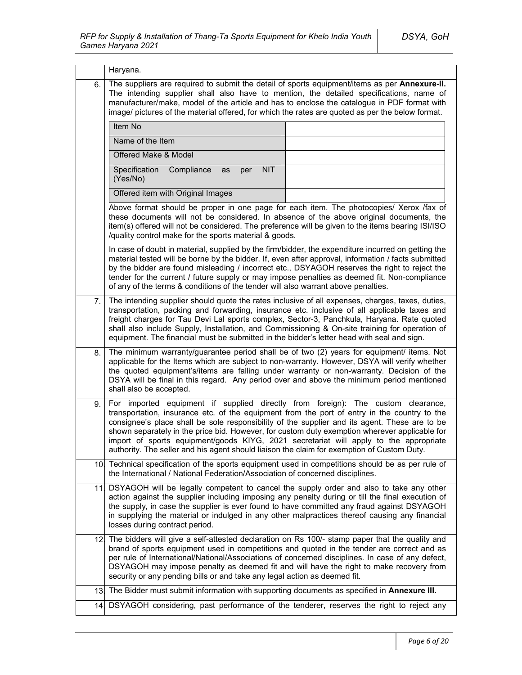|     | Haryana.                                                                                                                                                                                                                                                                                                                                                                                                                                                                                                                                                                  |  |
|-----|---------------------------------------------------------------------------------------------------------------------------------------------------------------------------------------------------------------------------------------------------------------------------------------------------------------------------------------------------------------------------------------------------------------------------------------------------------------------------------------------------------------------------------------------------------------------------|--|
| 6.  | The suppliers are required to submit the detail of sports equipment/items as per Annexure-II.<br>The intending supplier shall also have to mention, the detailed specifications, name of<br>manufacturer/make, model of the article and has to enclose the catalogue in PDF format with<br>image/ pictures of the material offered, for which the rates are quoted as per the below format.                                                                                                                                                                               |  |
|     | Item No                                                                                                                                                                                                                                                                                                                                                                                                                                                                                                                                                                   |  |
|     | Name of the Item                                                                                                                                                                                                                                                                                                                                                                                                                                                                                                                                                          |  |
|     | Offered Make & Model                                                                                                                                                                                                                                                                                                                                                                                                                                                                                                                                                      |  |
|     | Specification<br><b>NIT</b><br>Compliance<br>as<br>per<br>(Yes/No)                                                                                                                                                                                                                                                                                                                                                                                                                                                                                                        |  |
|     | Offered item with Original Images                                                                                                                                                                                                                                                                                                                                                                                                                                                                                                                                         |  |
|     | Above format should be proper in one page for each item. The photocopies/ Xerox /fax of<br>these documents will not be considered. In absence of the above original documents, the<br>item(s) offered will not be considered. The preference will be given to the items bearing ISI/ISO<br>/quality control make for the sports material & goods.                                                                                                                                                                                                                         |  |
|     | In case of doubt in material, supplied by the firm/bidder, the expenditure incurred on getting the<br>material tested will be borne by the bidder. If, even after approval, information / facts submitted<br>by the bidder are found misleading / incorrect etc., DSYAGOH reserves the right to reject the<br>tender for the current / future supply or may impose penalties as deemed fit. Non-compliance<br>of any of the terms & conditions of the tender will also warrant above penalties.                                                                           |  |
| 7.  | The intending supplier should quote the rates inclusive of all expenses, charges, taxes, duties,<br>transportation, packing and forwarding, insurance etc. inclusive of all applicable taxes and<br>freight charges for Tau Devi Lal sports complex, Sector-3, Panchkula, Haryana. Rate quoted<br>shall also include Supply, Installation, and Commissioning & On-site training for operation of<br>equipment. The financial must be submitted in the bidder's letter head with seal and sign.                                                                            |  |
| 8.  | The minimum warranty/guarantee period shall be of two (2) years for equipment/ items. Not<br>applicable for the Items which are subject to non-warranty. However, DSYA will verify whether<br>the quoted equipment's/items are falling under warranty or non-warranty. Decision of the<br>DSYA will be final in this regard. Any period over and above the minimum period mentioned<br>shall also be accepted.                                                                                                                                                            |  |
| 9.  | For imported equipment if supplied directly from foreign): The custom clearance,<br>transportation, insurance etc. of the equipment from the port of entry in the country to the<br>consignee's place shall be sole responsibility of the supplier and its agent. These are to be<br>shown separately in the price bid. However, for custom duty exemption wherever applicable for<br>import of sports equipment/goods KIYG, 2021 secretariat will apply to the appropriate<br>authority. The seller and his agent should liaison the claim for exemption of Custom Duty. |  |
| 10. | Technical specification of the sports equipment used in competitions should be as per rule of<br>the International / National Federation/Association of concerned disciplines.                                                                                                                                                                                                                                                                                                                                                                                            |  |
|     | 11. DSYAGOH will be legally competent to cancel the supply order and also to take any other<br>action against the supplier including imposing any penalty during or till the final execution of<br>the supply, in case the supplier is ever found to have committed any fraud against DSYAGOH<br>in supplying the material or indulged in any other malpractices thereof causing any financial<br>losses during contract period.                                                                                                                                          |  |
|     | 12. The bidders will give a self-attested declaration on Rs 100/- stamp paper that the quality and<br>brand of sports equipment used in competitions and quoted in the tender are correct and as<br>per rule of International/National/Associations of concerned disciplines. In case of any defect,<br>DSYAGOH may impose penalty as deemed fit and will have the right to make recovery from<br>security or any pending bills or and take any legal action as deemed fit.                                                                                               |  |
|     | 13. The Bidder must submit information with supporting documents as specified in Annexure III.                                                                                                                                                                                                                                                                                                                                                                                                                                                                            |  |
|     | 14. DSYAGOH considering, past performance of the tenderer, reserves the right to reject any                                                                                                                                                                                                                                                                                                                                                                                                                                                                               |  |
|     |                                                                                                                                                                                                                                                                                                                                                                                                                                                                                                                                                                           |  |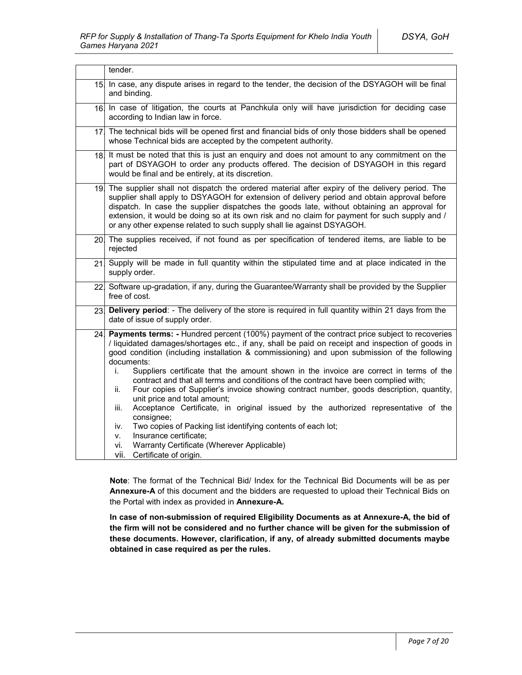|                 | tender.                                                                                                                                                                                                                                                                                                                                                                                                                                                                                                                                                                                                                                                                                                                                                                                                                                                                                                                                           |  |
|-----------------|---------------------------------------------------------------------------------------------------------------------------------------------------------------------------------------------------------------------------------------------------------------------------------------------------------------------------------------------------------------------------------------------------------------------------------------------------------------------------------------------------------------------------------------------------------------------------------------------------------------------------------------------------------------------------------------------------------------------------------------------------------------------------------------------------------------------------------------------------------------------------------------------------------------------------------------------------|--|
| 15 <sub>l</sub> | In case, any dispute arises in regard to the tender, the decision of the DSYAGOH will be final<br>and binding.                                                                                                                                                                                                                                                                                                                                                                                                                                                                                                                                                                                                                                                                                                                                                                                                                                    |  |
|                 | 16 In case of litigation, the courts at Panchkula only will have jurisdiction for deciding case<br>according to Indian law in force.                                                                                                                                                                                                                                                                                                                                                                                                                                                                                                                                                                                                                                                                                                                                                                                                              |  |
|                 | 17. The technical bids will be opened first and financial bids of only those bidders shall be opened<br>whose Technical bids are accepted by the competent authority.                                                                                                                                                                                                                                                                                                                                                                                                                                                                                                                                                                                                                                                                                                                                                                             |  |
|                 | 18. It must be noted that this is just an enquiry and does not amount to any commitment on the<br>part of DSYAGOH to order any products offered. The decision of DSYAGOH in this regard<br>would be final and be entirely, at its discretion.                                                                                                                                                                                                                                                                                                                                                                                                                                                                                                                                                                                                                                                                                                     |  |
|                 | 19. The supplier shall not dispatch the ordered material after expiry of the delivery period. The<br>supplier shall apply to DSYAGOH for extension of delivery period and obtain approval before<br>dispatch. In case the supplier dispatches the goods late, without obtaining an approval for<br>extension, it would be doing so at its own risk and no claim for payment for such supply and /<br>or any other expense related to such supply shall lie against DSYAGOH.                                                                                                                                                                                                                                                                                                                                                                                                                                                                       |  |
|                 | 20. The supplies received, if not found as per specification of tendered items, are liable to be<br>rejected                                                                                                                                                                                                                                                                                                                                                                                                                                                                                                                                                                                                                                                                                                                                                                                                                                      |  |
| 21.             | Supply will be made in full quantity within the stipulated time and at place indicated in the<br>supply order.                                                                                                                                                                                                                                                                                                                                                                                                                                                                                                                                                                                                                                                                                                                                                                                                                                    |  |
|                 | 22 Software up-gradation, if any, during the Guarantee/Warranty shall be provided by the Supplier<br>free of cost.                                                                                                                                                                                                                                                                                                                                                                                                                                                                                                                                                                                                                                                                                                                                                                                                                                |  |
| 23.             | Delivery period: - The delivery of the store is required in full quantity within 21 days from the<br>date of issue of supply order.                                                                                                                                                                                                                                                                                                                                                                                                                                                                                                                                                                                                                                                                                                                                                                                                               |  |
| 24.             | Payments terms: - Hundred percent (100%) payment of the contract price subject to recoveries<br>/ liquidated damages/shortages etc., if any, shall be paid on receipt and inspection of goods in<br>good condition (including installation & commissioning) and upon submission of the following<br>documents:<br>Suppliers certificate that the amount shown in the invoice are correct in terms of the<br>i.<br>contract and that all terms and conditions of the contract have been complied with;<br>Four copies of Supplier's invoice showing contract number, goods description, quantity,<br>ii.<br>unit price and total amount;<br>Acceptance Certificate, in original issued by the authorized representative of the<br>iii.<br>consignee;<br>Two copies of Packing list identifying contents of each lot;<br>iv.<br>Insurance certificate;<br>V.<br>Warranty Certificate (Wherever Applicable)<br>vi.<br>vii.<br>Certificate of origin. |  |

**Note**: The format of the Technical Bid/ Index for the Technical Bid Documents will be as per **Annexure-A** of this document and the bidders are requested to upload their Technical Bids on the Portal with index as provided in **Annexure-A.**

**In case of non-submission of required Eligibility Documents as at Annexure-A, the bid of the firm will not be considered and no further chance will be given for the submission of these documents. However, clarification, if any, of already submitted documents maybe obtained in case required as per the rules.**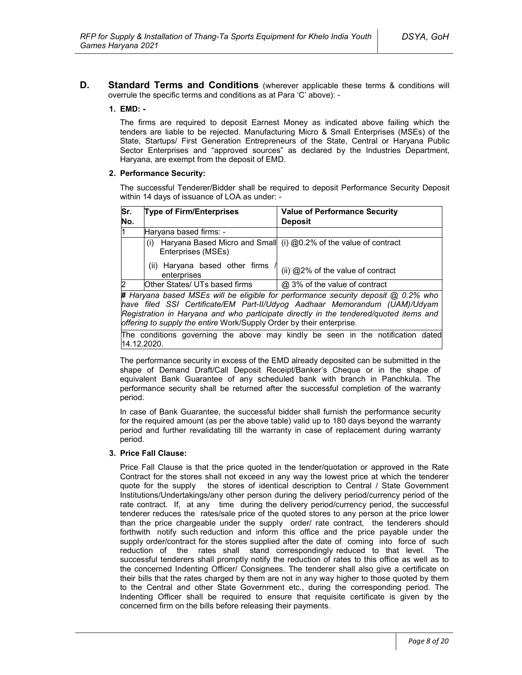**D. Standard Terms and Conditions** (wherever applicable these terms & conditions will overrule the specific terms and conditions as at Para 'C' above): -

### **1. EMD: -**

The firms are required to deposit Earnest Money as indicated above failing which the tenders are liable to be rejected. Manufacturing Micro & Small Enterprises (MSEs) of the State, Startups/ First Generation Entrepreneurs of the State, Central or Haryana Public Sector Enterprises and "approved sources" as declared by the Industries Department, Haryana, are exempt from the deposit of EMD.

### **2. Performance Security:**

The successful Tenderer/Bidder shall be required to deposit Performance Security Deposit within 14 days of issuance of LOA as under: -

| Sr. | <b>Type of Firm/Enterprises</b>               | <b>Value of Performance Security</b>                                              |
|-----|-----------------------------------------------|-----------------------------------------------------------------------------------|
| No. |                                               | <b>Deposit</b>                                                                    |
| l1  | Haryana based firms: -                        |                                                                                   |
|     | (i)<br>Enterprises (MSEs)                     | Haryana Based Micro and Small (i) @0.2% of the value of contract                  |
|     | (ii) Haryana based other firms<br>enterprises | (ii) @2% of the value of contract                                                 |
| 2   | Other States/ UTs based firms                 | @ 3% of the value of contract                                                     |
|     |                                               | # Haryana based MSEs will be eligible for performance security deposit @ 0.2% who |
|     |                                               | have filed SSL Certificate/EM Part-II/I klypa Aadhaar Memorandum (I IAM)/I klyam  |

*have filed SSI Certificate/EM Part-II/Udyog Aadhaar Memorandum (UAM)/Udyam Registration in Haryana and who participate directly in the tendered/quoted items and offering to supply the entire* Work/Supply Order by their enterprise*.*

The conditions governing the above may kindly be seen in the notification dated 14.12.2020.

The performance security in excess of the EMD already deposited can be submitted in the shape of Demand Draft/Call Deposit Receipt/Banker's Cheque or in the shape of equivalent Bank Guarantee of any scheduled bank with branch in Panchkula. The performance security shall be returned after the successful completion of the warranty period.

In case of Bank Guarantee, the successful bidder shall furnish the performance security for the required amount (as per the above table) valid up to 180 days beyond the warranty period and further revalidating till the warranty in case of replacement during warranty period.

#### **3. Price Fall Clause:**

Price Fall Clause is that the price quoted in the tender/quotation or approved in the Rate Contract for the stores shall not exceed in any way the lowest price at which the tenderer quote for the supply the stores of identical description to Central / State Government Institutions/Undertakings/any other person during the delivery period/currency period of the rate contract. If, at any time during the delivery period/currency period, the successful tenderer reduces the rates/sale price of the quoted stores to any person at the price lower than the price chargeable under the supply order/ rate contract, the tenderers should forthwith notify such reduction and inform this office and the price payable under the supply order/contract for the stores supplied after the date of coming into force of such reduction of the rates shall stand correspondingly reduced to that level. The successful tenderers shall promptly notify the reduction of rates to this office as well as to the concerned Indenting Officer/ Consignees. The tenderer shall also give a certificate on their bills that the rates charged by them are not in any way higher to those quoted by them to the Central and other State Government etc., during the corresponding period. The Indenting Officer shall be required to ensure that requisite certificate is given by the concerned firm on the bills before releasing their payments.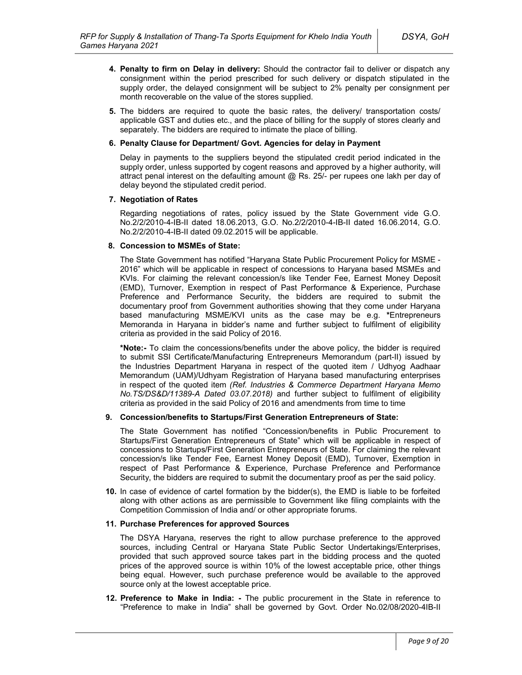- **4. Penalty to firm on Delay in delivery:** Should the contractor fail to deliver or dispatch any consignment within the period prescribed for such delivery or dispatch stipulated in the supply order, the delayed consignment will be subject to 2% penalty per consignment per month recoverable on the value of the stores supplied.
- **5.** The bidders are required to quote the basic rates, the delivery/ transportation costs/ applicable GST and duties etc., and the place of billing for the supply of stores clearly and separately. The bidders are required to intimate the place of billing.

#### **6. Penalty Clause for Department/ Govt. Agencies for delay in Payment**

Delay in payments to the suppliers beyond the stipulated credit period indicated in the supply order, unless supported by cogent reasons and approved by a higher authority, will attract penal interest on the defaulting amount @ Rs. 25/- per rupees one lakh per day of delay beyond the stipulated credit period.

#### **7. Negotiation of Rates**

Regarding negotiations of rates, policy issued by the State Government vide G.O. No.2/2/2010-4-IB-II dated 18.06.2013, G.O. No.2/2/2010-4-IB-II dated 16.06.2014, G.O. No.2/2/2010-4-IB-II dated 09.02.2015 will be applicable.

#### **8. Concession to MSMEs of State:**

The State Government has notified "Haryana State Public Procurement Policy for MSME - 2016" which will be applicable in respect of concessions to Haryana based MSMEs and KVIs. For claiming the relevant concession/s like Tender Fee, Earnest Money Deposit (EMD), Turnover, Exemption in respect of Past Performance & Experience, Purchase Preference and Performance Security, the bidders are required to submit the documentary proof from Government authorities showing that they come under Haryana based manufacturing MSME/KVI units as the case may be e.g. **\***Entrepreneurs Memoranda in Haryana in bidder's name and further subject to fulfilment of eligibility criteria as provided in the said Policy of 2016.

**\*Note:-** To claim the concessions/benefits under the above policy, the bidder is required to submit SSI Certificate/Manufacturing Entrepreneurs Memorandum (part-II) issued by the Industries Department Haryana in respect of the quoted item / Udhyog Aadhaar Memorandum (UAM)/Udhyam Registration of Haryana based manufacturing enterprises in respect of the quoted item *(Ref. Industries & Commerce Department Haryana Memo No.TS/DS&D/11389-A Dated 03.07.2018)* and further subject to fulfilment of eligibility criteria as provided in the said Policy of 2016 and amendments from time to time

#### **9. Concession/benefits to Startups/First Generation Entrepreneurs of State:**

The State Government has notified "Concession/benefits in Public Procurement to Startups/First Generation Entrepreneurs of State" which will be applicable in respect of concessions to Startups/First Generation Entrepreneurs of State. For claiming the relevant concession/s like Tender Fee, Earnest Money Deposit (EMD), Turnover, Exemption in respect of Past Performance & Experience, Purchase Preference and Performance Security, the bidders are required to submit the documentary proof as per the said policy.

**10.** In case of evidence of cartel formation by the bidder(s), the EMD is liable to be forfeited along with other actions as are permissible to Government like filing complaints with the Competition Commission of India and/ or other appropriate forums.

#### **11. Purchase Preferences for approved Sources**

The DSYA Haryana, reserves the right to allow purchase preference to the approved sources, including Central or Haryana State Public Sector Undertakings/Enterprises, provided that such approved source takes part in the bidding process and the quoted prices of the approved source is within 10% of the lowest acceptable price, other things being equal. However, such purchase preference would be available to the approved source only at the lowest acceptable price.

**12. Preference to Make in India: -** The public procurement in the State in reference to "Preference to make in India" shall be governed by Govt. Order No.02/08/2020-4IB-II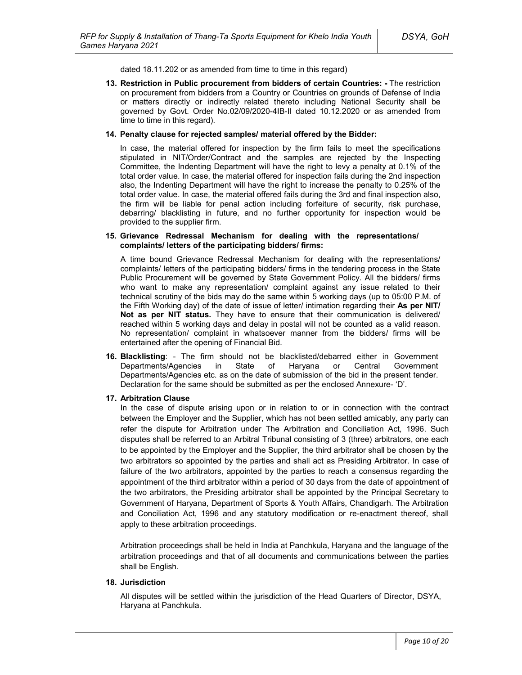dated 18.11.202 or as amended from time to time in this regard)

**13. Restriction in Public procurement from bidders of certain Countries: -** The restriction on procurement from bidders from a Country or Countries on grounds of Defense of India or matters directly or indirectly related thereto including National Security shall be governed by Govt. Order No.02/09/2020-4IB-II dated 10.12.2020 or as amended from time to time in this regard).

#### **14. Penalty clause for rejected samples/ material offered by the Bidder:**

In case, the material offered for inspection by the firm fails to meet the specifications stipulated in NIT/Order/Contract and the samples are rejected by the Inspecting Committee, the Indenting Department will have the right to levy a penalty at 0.1% of the total order value. In case, the material offered for inspection fails during the 2nd inspection also, the Indenting Department will have the right to increase the penalty to 0.25% of the total order value. In case, the material offered fails during the 3rd and final inspection also, the firm will be liable for penal action including forfeiture of security, risk purchase, debarring/ blacklisting in future, and no further opportunity for inspection would be provided to the supplier firm.

#### **15. Grievance Redressal Mechanism for dealing with the representations/ complaints/ letters of the participating bidders/ firms:**

A time bound Grievance Redressal Mechanism for dealing with the representations/ complaints/ letters of the participating bidders/ firms in the tendering process in the State Public Procurement will be governed by State Government Policy. All the bidders/ firms who want to make any representation/ complaint against any issue related to their technical scrutiny of the bids may do the same within 5 working days (up to 05:00 P.M. of the Fifth Working day) of the date of issue of letter/ intimation regarding their **As per NIT/ Not as per NIT status.** They have to ensure that their communication is delivered/ reached within 5 working days and delay in postal will not be counted as a valid reason. No representation/ complaint in whatsoever manner from the bidders/ firms will be entertained after the opening of Financial Bid.

**16. Blacklisting**: - The firm should not be blacklisted/debarred either in Government Departments/Agencies in State of Haryana or Central Government Departments/Agencies etc. as on the date of submission of the bid in the present tender. Declaration for the same should be submitted as per the enclosed Annexure- 'D'.

#### **17. Arbitration Clause**

In the case of dispute arising upon or in relation to or in connection with the contract between the Employer and the Supplier, which has not been settled amicably, any party can refer the dispute for Arbitration under The Arbitration and Conciliation Act, 1996. Such disputes shall be referred to an Arbitral Tribunal consisting of 3 (three) arbitrators, one each to be appointed by the Employer and the Supplier, the third arbitrator shall be chosen by the two arbitrators so appointed by the parties and shall act as Presiding Arbitrator. In case of failure of the two arbitrators, appointed by the parties to reach a consensus regarding the appointment of the third arbitrator within a period of 30 days from the date of appointment of the two arbitrators, the Presiding arbitrator shall be appointed by the Principal Secretary to Government of Haryana, Department of Sports & Youth Affairs, Chandigarh. The Arbitration and Conciliation Act, 1996 and any statutory modification or re-enactment thereof, shall apply to these arbitration proceedings.

Arbitration proceedings shall be held in India at Panchkula, Haryana and the language of the arbitration proceedings and that of all documents and communications between the parties shall be English.

#### **18. Jurisdiction**

All disputes will be settled within the jurisdiction of the Head Quarters of Director, DSYA, Haryana at Panchkula.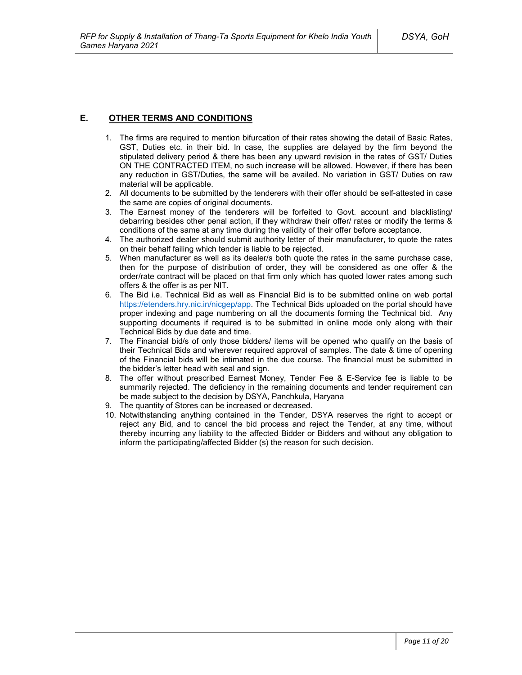## **E. OTHER TERMS AND CONDITIONS**

- 1. The firms are required to mention bifurcation of their rates showing the detail of Basic Rates, GST, Duties etc. in their bid. In case, the supplies are delayed by the firm beyond the stipulated delivery period & there has been any upward revision in the rates of GST/ Duties ON THE CONTRACTED ITEM, no such increase will be allowed. However, if there has been any reduction in GST/Duties, the same will be availed. No variation in GST/ Duties on raw material will be applicable.
- 2. All documents to be submitted by the tenderers with their offer should be self-attested in case the same are copies of original documents.
- 3. The Earnest money of the tenderers will be forfeited to Govt. account and blacklisting/ debarring besides other penal action, if they withdraw their offer/ rates or modify the terms & conditions of the same at any time during the validity of their offer before acceptance.
- 4. The authorized dealer should submit authority letter of their manufacturer, to quote the rates on their behalf failing which tender is liable to be rejected.
- 5. When manufacturer as well as its dealer/s both quote the rates in the same purchase case, then for the purpose of distribution of order, they will be considered as one offer & the order/rate contract will be placed on that firm only which has quoted lower rates among such offers & the offer is as per NIT.
- 6. The Bid i.e. Technical Bid as well as Financial Bid is to be submitted online on web portal https://etenders.hry.nic.in/nicgep/app. The Technical Bids uploaded on the portal should have proper indexing and page numbering on all the documents forming the Technical bid. Any supporting documents if required is to be submitted in online mode only along with their Technical Bids by due date and time.
- 7. The Financial bid/s of only those bidders/ items will be opened who qualify on the basis of their Technical Bids and wherever required approval of samples. The date & time of opening of the Financial bids will be intimated in the due course. The financial must be submitted in the bidder's letter head with seal and sign.
- 8. The offer without prescribed Earnest Money, Tender Fee & E-Service fee is liable to be summarily rejected. The deficiency in the remaining documents and tender requirement can be made subject to the decision by DSYA, Panchkula, Haryana
- 9. The quantity of Stores can be increased or decreased.
- 10. Notwithstanding anything contained in the Tender, DSYA reserves the right to accept or reject any Bid, and to cancel the bid process and reject the Tender, at any time, without thereby incurring any liability to the affected Bidder or Bidders and without any obligation to inform the participating/affected Bidder (s) the reason for such decision.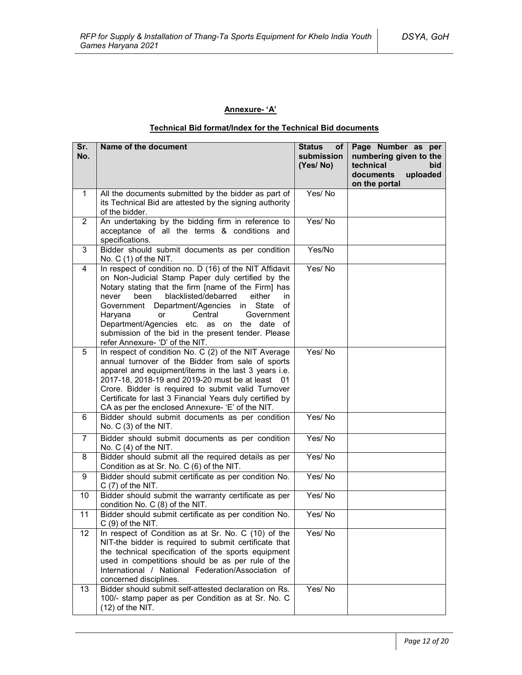## **Annexure- 'A'**

## **Technical Bid format/Index for the Technical Bid documents**

| Sr.<br>No.              | Name of the document                                                                                                                                                                                                                                                                                                                                                                                                                                            | <b>Status</b><br>of <sub>1</sub><br>submission<br>(Yes/No) | Page Number as per<br>numbering given to the<br>technical<br>bid<br>documents<br>uploaded<br>on the portal |
|-------------------------|-----------------------------------------------------------------------------------------------------------------------------------------------------------------------------------------------------------------------------------------------------------------------------------------------------------------------------------------------------------------------------------------------------------------------------------------------------------------|------------------------------------------------------------|------------------------------------------------------------------------------------------------------------|
| $\mathbf{1}$            | All the documents submitted by the bidder as part of<br>its Technical Bid are attested by the signing authority<br>of the bidder.                                                                                                                                                                                                                                                                                                                               | Yes/No                                                     |                                                                                                            |
| $\overline{2}$          | An undertaking by the bidding firm in reference to<br>acceptance of all the terms & conditions and<br>specifications.                                                                                                                                                                                                                                                                                                                                           | Yes/No                                                     |                                                                                                            |
| 3                       | Bidder should submit documents as per condition<br>No. C (1) of the NIT.                                                                                                                                                                                                                                                                                                                                                                                        | Yes/No                                                     |                                                                                                            |
| $\overline{\mathbf{4}}$ | In respect of condition no. D (16) of the NIT Affidavit<br>on Non-Judicial Stamp Paper duly certified by the<br>Notary stating that the firm [name of the Firm] has<br>blacklisted/debarred<br>either<br>never<br>been<br>in<br>Government Department/Agencies in State<br>of<br>Haryana<br>Central<br>Government<br>or<br>Department/Agencies etc. as on the date of<br>submission of the bid in the present tender. Please<br>refer Annexure- 'D' of the NIT. | Yes/No                                                     |                                                                                                            |
| 5                       | In respect of condition No. C (2) of the NIT Average<br>annual turnover of the Bidder from sale of sports<br>apparel and equipment/items in the last 3 years i.e.<br>2017-18, 2018-19 and 2019-20 must be at least 01<br>Crore. Bidder is required to submit valid Turnover<br>Certificate for last 3 Financial Years duly certified by<br>CA as per the enclosed Annexure- 'E' of the NIT.                                                                     | Yes/No                                                     |                                                                                                            |
| 6                       | Bidder should submit documents as per condition<br>No. C (3) of the NIT.                                                                                                                                                                                                                                                                                                                                                                                        | Yes/No                                                     |                                                                                                            |
| $\overline{7}$          | Bidder should submit documents as per condition<br>No. $C(4)$ of the NIT.                                                                                                                                                                                                                                                                                                                                                                                       | Yes/No                                                     |                                                                                                            |
| 8                       | Bidder should submit all the required details as per<br>Condition as at Sr. No. C (6) of the NIT.                                                                                                                                                                                                                                                                                                                                                               | Yes/No                                                     |                                                                                                            |
| 9                       | Bidder should submit certificate as per condition No.<br>$C(7)$ of the NIT.                                                                                                                                                                                                                                                                                                                                                                                     | Yes/No                                                     |                                                                                                            |
| 10                      | Bidder should submit the warranty certificate as per<br>condition No. C (8) of the NIT.                                                                                                                                                                                                                                                                                                                                                                         | Yes/No                                                     |                                                                                                            |
| 11                      | Bidder should submit certificate as per condition No.<br>$C(9)$ of the NIT.                                                                                                                                                                                                                                                                                                                                                                                     | Yes/No                                                     |                                                                                                            |
| 12                      | In respect of Condition as at Sr. No. C (10) of the<br>NIT-the bidder is required to submit certificate that<br>the technical specification of the sports equipment<br>used in competitions should be as per rule of the<br>International / National Federation/Association of<br>concerned disciplines.                                                                                                                                                        | Yes/No                                                     |                                                                                                            |
| 13                      | Bidder should submit self-attested declaration on Rs.<br>100/- stamp paper as per Condition as at Sr. No. C<br>$(12)$ of the NIT.                                                                                                                                                                                                                                                                                                                               | Yes/No                                                     |                                                                                                            |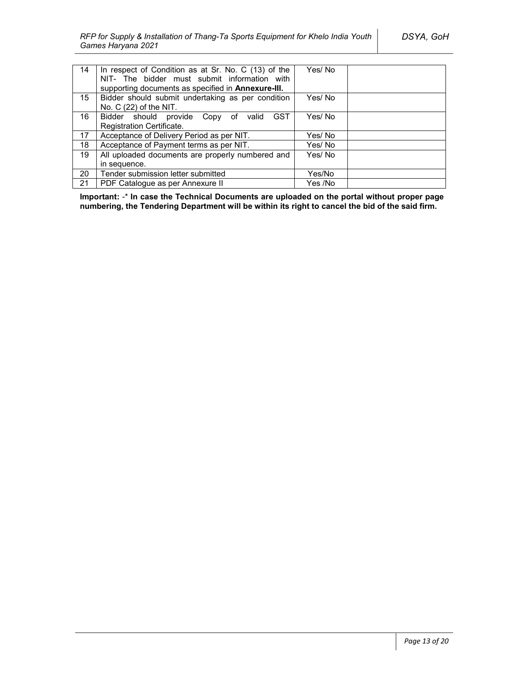| 14 | In respect of Condition as at Sr. No. C (13) of the<br>NIT- The bidder must submit information with | Yes/No  |  |
|----|-----------------------------------------------------------------------------------------------------|---------|--|
|    | supporting documents as specified in <b>Annexure-III.</b>                                           |         |  |
| 15 | Bidder should submit undertaking as per condition                                                   | Yes/ No |  |
|    | No. $C(22)$ of the NIT.                                                                             |         |  |
| 16 | <b>GST</b><br>Bidder should provide Copy of valid                                                   | Yes/No  |  |
|    | Registration Certificate.                                                                           |         |  |
| 17 | Acceptance of Delivery Period as per NIT.                                                           | Yes/ No |  |
| 18 | Acceptance of Payment terms as per NIT.                                                             | Yes/ No |  |
| 19 | All uploaded documents are properly numbered and                                                    | Yes/ No |  |
|    | in sequence.                                                                                        |         |  |
| 20 | Tender submission letter submitted                                                                  | Yes/No  |  |
| 21 | PDF Catalogue as per Annexure II                                                                    | Yes /No |  |

**Important:** -\* **In case the Technical Documents are uploaded on the portal without proper page numbering, the Tendering Department will be within its right to cancel the bid of the said firm.**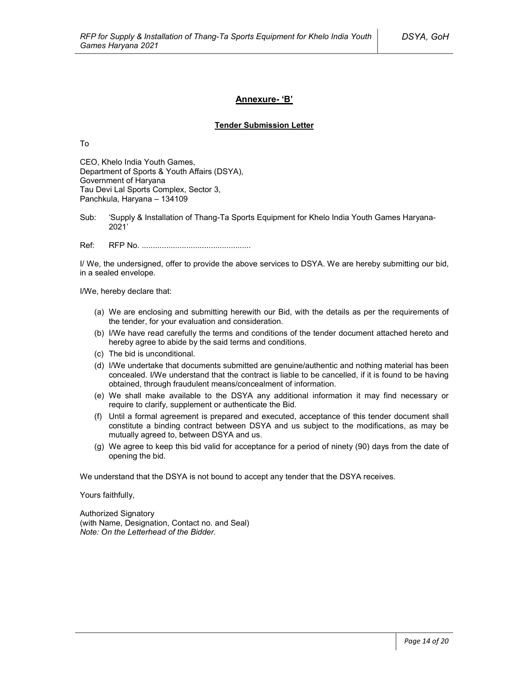### **Annexure- 'B'**

#### **Tender Submission Letter**

To

CEO, Khelo India Youth Games, Department of Sports & Youth Affairs (DSYA), Government of Haryana Tau Devi Lal Sports Complex, Sector 3, Panchkula, Haryana – 134109

Sub: 'Supply & Installation of Thang-Ta Sports Equipment for Khelo India Youth Games Haryana-2021'

Ref: RFP No. .................................................

I/ We, the undersigned, offer to provide the above services to DSYA. We are hereby submitting our bid, in a sealed envelope.

I/We, hereby declare that:

- (a) We are enclosing and submitting herewith our Bid, with the details as per the requirements of the tender, for your evaluation and consideration.
- (b) I/We have read carefully the terms and conditions of the tender document attached hereto and hereby agree to abide by the said terms and conditions.
- (c) The bid is unconditional.
- (d) I/We undertake that documents submitted are genuine/authentic and nothing material has been concealed. I/We understand that the contract is liable to be cancelled, if it is found to be having obtained, through fraudulent means/concealment of information.
- (e) We shall make available to the DSYA any additional information it may find necessary or require to clarify, supplement or authenticate the Bid.
- (f) Until a formal agreement is prepared and executed, acceptance of this tender document shall constitute a binding contract between DSYA and us subject to the modifications, as may be mutually agreed to, between DSYA and us.
- (g) We agree to keep this bid valid for acceptance for a period of ninety (90) days from the date of opening the bid.

We understand that the DSYA is not bound to accept any tender that the DSYA receives.

Yours faithfully,

Authorized Signatory (with Name, Designation, Contact no. and Seal) *Note: On the Letterhead of the Bidder.*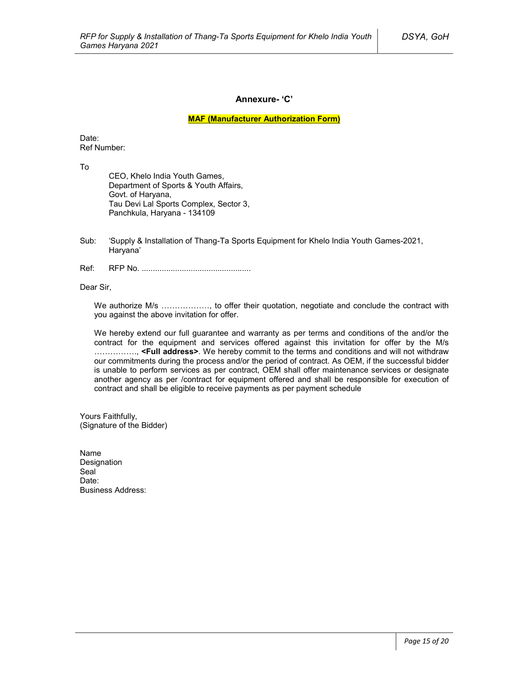### **Annexure- 'C'**

**MAF (Manufacturer Authorization Form)**

Date: Ref Number:

To

CEO, Khelo India Youth Games, Department of Sports & Youth Affairs, Govt. of Haryana, Tau Devi Lal Sports Complex, Sector 3, Panchkula, Haryana - 134109

- Sub: 'Supply & Installation of Thang-Ta Sports Equipment for Khelo India Youth Games-2021, Haryana'
- Ref: RFP No. .................................................

Dear Sir,

We authorize M/s ………………, to offer their quotation, negotiate and conclude the contract with you against the above invitation for offer.

We hereby extend our full guarantee and warranty as per terms and conditions of the and/or the contract for the equipment and services offered against this invitation for offer by the M/s ……………., **<Full address>**. We hereby commit to the terms and conditions and will not withdraw our commitments during the process and/or the period of contract. As OEM, if the successful bidder is unable to perform services as per contract, OEM shall offer maintenance services or designate another agency as per /contract for equipment offered and shall be responsible for execution of contract and shall be eligible to receive payments as per payment schedule

Yours Faithfully, (Signature of the Bidder)

Name Designation Seal<sup>1</sup> Date<sup>.</sup> Business Address: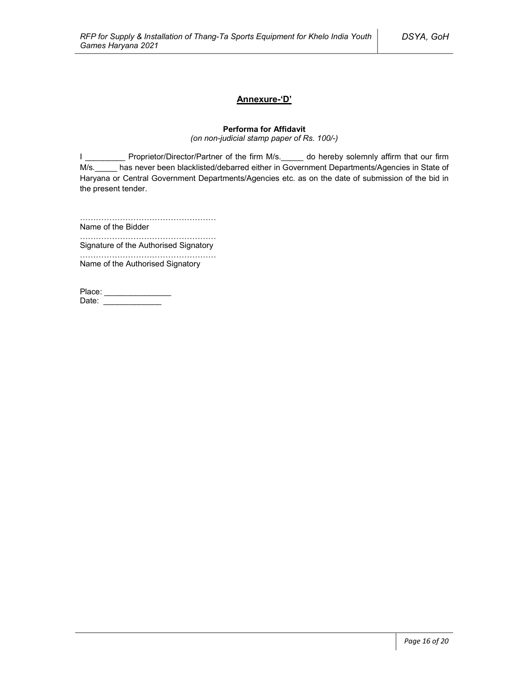## **Annexure-'D'**

## **Performa for Affidavit**

*(on non-judicial stamp paper of Rs. 100/-)*

I \_\_\_\_\_\_\_\_\_\_\_ Proprietor/Director/Partner of the firm M/s.\_\_\_\_\_ do hereby solemnly affirm that our firm M/s. has never been blacklisted/debarred either in Government Departments/Agencies in State of Haryana or Central Government Departments/Agencies etc. as on the date of submission of the bid in the present tender.

……………………………………………

Name of the Bidder ……………………………………………

Signature of the Authorised Signatory

…………………………………………… Name of the Authorised Signatory

| Place: |  |
|--------|--|
| Date:  |  |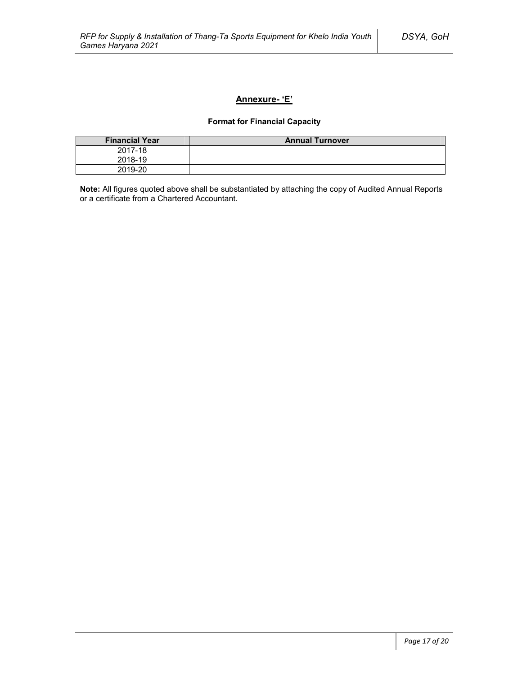## **Annexure- 'E'**

## **Format for Financial Capacity**

| <b>Financial Year</b> | <b>Annual Turnover</b> |
|-----------------------|------------------------|
| 2017-18               |                        |
| 2018-19               |                        |
| 2019-20               |                        |

**Note:** All figures quoted above shall be substantiated by attaching the copy of Audited Annual Reports or a certificate from a Chartered Accountant.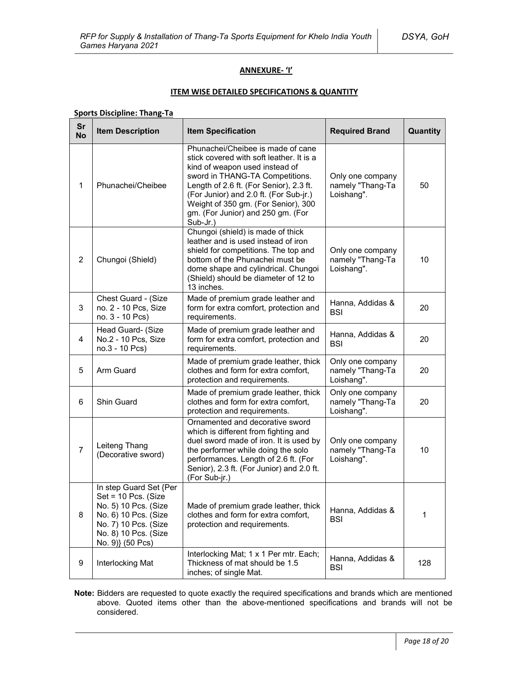### **ANNEXURE- 'I'**

### **ITEM WISE DETAILED SPECIFICATIONS & QUANTITY**

## **Sports Discipline: Thang-Ta**

| Sr<br><b>No</b> | <b>Item Description</b>                                                                                                                                           | <b>Item Specification</b>                                                                                                                                                                                                                                                                                                       | <b>Required Brand</b>                              | Quantity |
|-----------------|-------------------------------------------------------------------------------------------------------------------------------------------------------------------|---------------------------------------------------------------------------------------------------------------------------------------------------------------------------------------------------------------------------------------------------------------------------------------------------------------------------------|----------------------------------------------------|----------|
| 1               | Phunachei/Cheibee                                                                                                                                                 | Phunachei/Cheibee is made of cane<br>stick covered with soft leather. It is a<br>kind of weapon used instead of<br>sword in THANG-TA Competitions.<br>Length of 2.6 ft. (For Senior), 2.3 ft.<br>(For Junior) and 2.0 ft. (For Sub-jr.)<br>Weight of 350 gm. (For Senior), 300<br>gm. (For Junior) and 250 gm. (For<br>Sub-Jr.) | Only one company<br>namely "Thang-Ta<br>Loishang". | 50       |
| $\overline{2}$  | Chungoi (Shield)                                                                                                                                                  | Chungoi (shield) is made of thick<br>leather and is used instead of iron<br>shield for competitions. The top and<br>bottom of the Phunachei must be<br>dome shape and cylindrical. Chungoi<br>(Shield) should be diameter of 12 to<br>13 inches.                                                                                | Only one company<br>namely "Thang-Ta<br>Loishang". | 10       |
| 3               | Chest Guard - (Size<br>no. 2 - 10 Pcs, Size<br>no. 3 - 10 Pcs)                                                                                                    | Made of premium grade leather and<br>form for extra comfort, protection and<br>requirements.                                                                                                                                                                                                                                    | Hanna, Addidas &<br><b>BSI</b>                     | 20       |
| $\overline{4}$  | Head Guard- (Size<br>No.2 - 10 Pcs, Size<br>no.3 - 10 Pcs)                                                                                                        | Made of premium grade leather and<br>form for extra comfort, protection and<br>requirements.                                                                                                                                                                                                                                    | Hanna, Addidas &<br><b>BSI</b>                     | 20       |
| 5               | Arm Guard                                                                                                                                                         | Made of premium grade leather, thick<br>clothes and form for extra comfort,<br>protection and requirements.                                                                                                                                                                                                                     | Only one company<br>namely "Thang-Ta<br>Loishang". | 20       |
| 6               | <b>Shin Guard</b>                                                                                                                                                 | Made of premium grade leather, thick<br>clothes and form for extra comfort,<br>protection and requirements.                                                                                                                                                                                                                     | Only one company<br>namely "Thang-Ta<br>Loishang". | 20       |
| $\overline{7}$  | Leiteng Thang<br>(Decorative sword)                                                                                                                               | Ornamented and decorative sword<br>which is different from fighting and<br>duel sword made of iron. It is used by<br>the performer while doing the solo<br>performances. Length of 2.6 ft. (For<br>Senior), 2.3 ft. (For Junior) and 2.0 ft.<br>(For Sub-jr.)                                                                   | Only one company<br>namely "Thang-Ta<br>Loishang". | 10       |
| 8               | In step Guard Set {Per<br>Set = 10 Pcs. (Size<br>No. 5) 10 Pcs. (Size<br>No. 6) 10 Pcs. (Size<br>No. 7) 10 Pcs. (Size<br>No. 8) 10 Pcs. (Size<br>No. 9)} (50 Pcs) | Made of premium grade leather, thick<br>clothes and form for extra comfort,<br>protection and requirements.                                                                                                                                                                                                                     | Hanna, Addidas &<br><b>BSI</b>                     | 1        |
| 9               | Interlocking Mat                                                                                                                                                  | Interlocking Mat; 1 x 1 Per mtr. Each;<br>Thickness of mat should be 1.5<br>inches; of single Mat.                                                                                                                                                                                                                              | Hanna, Addidas &<br><b>BSI</b>                     | 128      |

**Note:** Bidders are requested to quote exactly the required specifications and brands which are mentioned above. Quoted items other than the above-mentioned specifications and brands will not be considered.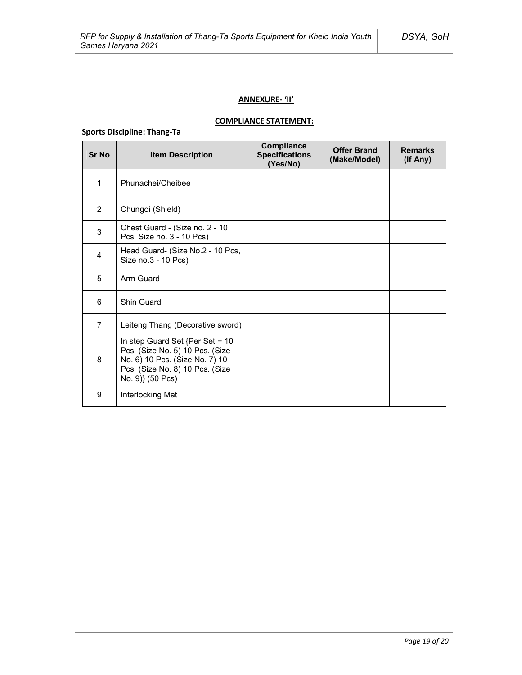## **ANNEXURE- 'II'**

## **COMPLIANCE STATEMENT:**

## **Sports Discipline: Thang-Ta**

| <b>Sr No</b>   | <b>Item Description</b>                                                                                                                                     | Compliance<br><b>Specifications</b><br>(Yes/No) | <b>Offer Brand</b><br>(Make/Model) | <b>Remarks</b><br>(If Any) |
|----------------|-------------------------------------------------------------------------------------------------------------------------------------------------------------|-------------------------------------------------|------------------------------------|----------------------------|
| 1              | Phunachei/Cheibee                                                                                                                                           |                                                 |                                    |                            |
| $\overline{2}$ | Chungoi (Shield)                                                                                                                                            |                                                 |                                    |                            |
| 3              | Chest Guard - (Size no. 2 - 10<br>Pcs, Size no. 3 - 10 Pcs)                                                                                                 |                                                 |                                    |                            |
| 4              | Head Guard- (Size No.2 - 10 Pcs,<br>Size no.3 - 10 Pcs)                                                                                                     |                                                 |                                    |                            |
| 5              | Arm Guard                                                                                                                                                   |                                                 |                                    |                            |
| 6              | Shin Guard                                                                                                                                                  |                                                 |                                    |                            |
| $\overline{7}$ | Leiteng Thang (Decorative sword)                                                                                                                            |                                                 |                                    |                            |
| 8              | In step Guard Set {Per Set = 10<br>Pcs. (Size No. 5) 10 Pcs. (Size<br>No. 6) 10 Pcs. (Size No. 7) 10<br>Pcs. (Size No. 8) 10 Pcs. (Size<br>No. 9)} (50 Pcs) |                                                 |                                    |                            |
| 9              | Interlocking Mat                                                                                                                                            |                                                 |                                    |                            |